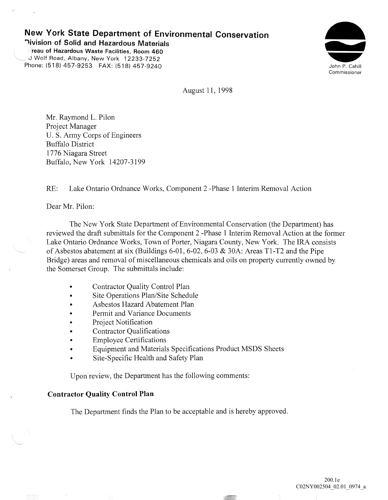# **New York State Department of Environmental Conservation**

**<b>Nivision of Solid and Hazardous Materials reau of Hazardous Waste Facilities, Room 460** 

J Wolf Road, Albany, New York 12233-7252 Phone: (518) 457-9253 FAX: (518) 457-9240



August 11, 1998

Mr. Raymond L. Pilon Project Manager U. S. Army Corps of Engineers Buffalo District 1776 Niagara Street Buffalo, New York 14207-3199

RE: Lake Ontario Ordnance Works, Component 2 -Phase 1 Interim Removal Action

Dear Mr. Pilon:

The New York State Department of Environmental Conservation (the Department) has reviewed the draft submittals for the Component 2 -Phase 1 Interim Removal Action at the former Lake Ontario Ordnance Works, Town of Porter, Niagara County, New York. The IRA consists of Asbestos abatement at six (Buildings 6-01, 6-02, 6-03 & 30A: Areas Tl-T2 and the Pipe Bridge) areas and removal of miscellaneous chemicals and oils on property currently owned by the Somerset Group. The submittals include:

- Contractor Quality Control Plan
- Site Operations Plan/Site Schedule
- Asbestos Hazard Abatement Plan
- Permit and Variance Documents
- Project Notification
- Contractor Qualifications
- Employee Certifications
- Equipment and Materials Specifications Product MSDS Sheets
- Site-Specific Health and Safety Plan

Upon review, the Department has the following comments:

### **Contractor Quality Control Plan**

The Department finds the Plan to be acceptable and is hereby approved.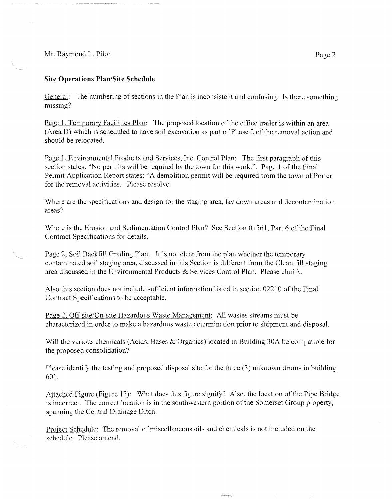Mr. Raymond L. Pilon Page 2

## **Site Operations Plan/Site Schedule**

General: The numbering of sections in the Plan is inconsistent and confusing. Is there something missing?

Page 1, Temporary Facilities Plan: The proposed location of the office trailer is within an area (Area D) which is scheduled to have soil excavation as part of Phase 2 of the removal action and should be relocated.

Page 1, Environmental Products and Services, Inc. Control Plan: The first paragraph of this section states: "No permits will be required by the town for this work.". Page 1 of the Final Permit Application Report states: "A demolition permit will be required from the town of Porter for the removal activities. Please resolve.

Where are the specifications and design for the staging area, lay down areas and decontamination areas?

Where is the Erosion and Sedimentation Control Plan? See Section 01561, Part 6 of the Final Contract Specifications for details.

Page 2, Soil Backfill Grading Plan: It is not clear from the plan whether the temporary contaminated soil staging area, discussed in this Section is different from the Clean fill staging area discussed in the Environmental Products & Services Control Plan. Please clarifY.

Also this section does not include sufficient information listed in section 02210 of the Final Contract Specifications to be acceptable.

Page 2, Off-site/On-site Hazardous Waste Management: All wastes streams must be characterized in order to make a hazardous waste determination prior to shipment and disposal.

Will the various chemicals (Acids, Bases & Organics) located in Building 30A be compatible for the proposed consolidation?

Please identify the testing and proposed disposal site for the three (3) unknown drums in building 601.

Attached Figure (Figure 1?): What does this figure signify? Also, the location of the Pipe Bridge is incorrect. The correct location is in the southwestern portion of the Somerset Group property, spanning the Central Drainage Ditch.

Project Schedule: The removal of miscellaneous oils and chemicals is not included on the schedule. Please amend.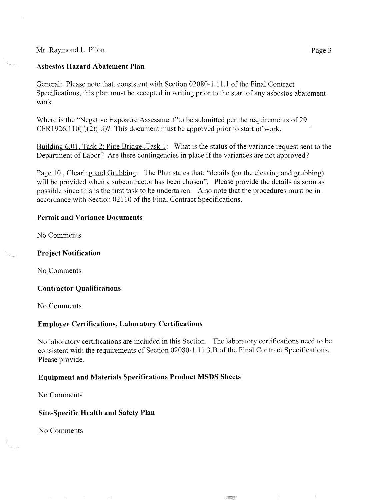### Mr. Raymond L. Pilon Page 3

#### **Asbestos Hazard Abatement Plan**

General: Please note that, consistent with Section 02080-1.11.1 of the Final Contract Specifications, this plan must be accepted in writing prior to the start of any asbestos abatement work.

Where is the "Negative Exposure Assessment"to be submitted per the requirements of 29  $CFR1926.110(f)(2)(iii)$ ? This document must be approved prior to start of work.

Building 6.01, Task 2; Pipe Bridge ,Task 1: What is the status of the variance request sent to the Department of Labor? Are there contingencies in place if the variances are not approved?

Page 10 , Clearing and Grubbing: The Plan states that: "details (on the clearing and grubbing) will be provided when a subcontractor has been chosen". Please provide the details as soon as possible since this is the first task to be undertaken. Also note that the procedures must be in accordance with Section 02110 of the Final Contract Specifications.

#### **Permit and Variance Documents**

No Comments

### **Project Notification**

No Comments

### **Contractor Qualifications**

No Comments

### **Employee Certifications, Laboratory Certifications**

No laboratory certifications are included in this Section. The laboratory certifications need to be consistent with the requirements of Section 02080-1.11.3.B of the Final Contract Specifications. Please provide.

### **Equipment and Materials Specifications Product MSDS Sheets**

No Comments

### **Site-Specific Health and Safety Plan**

No Comments